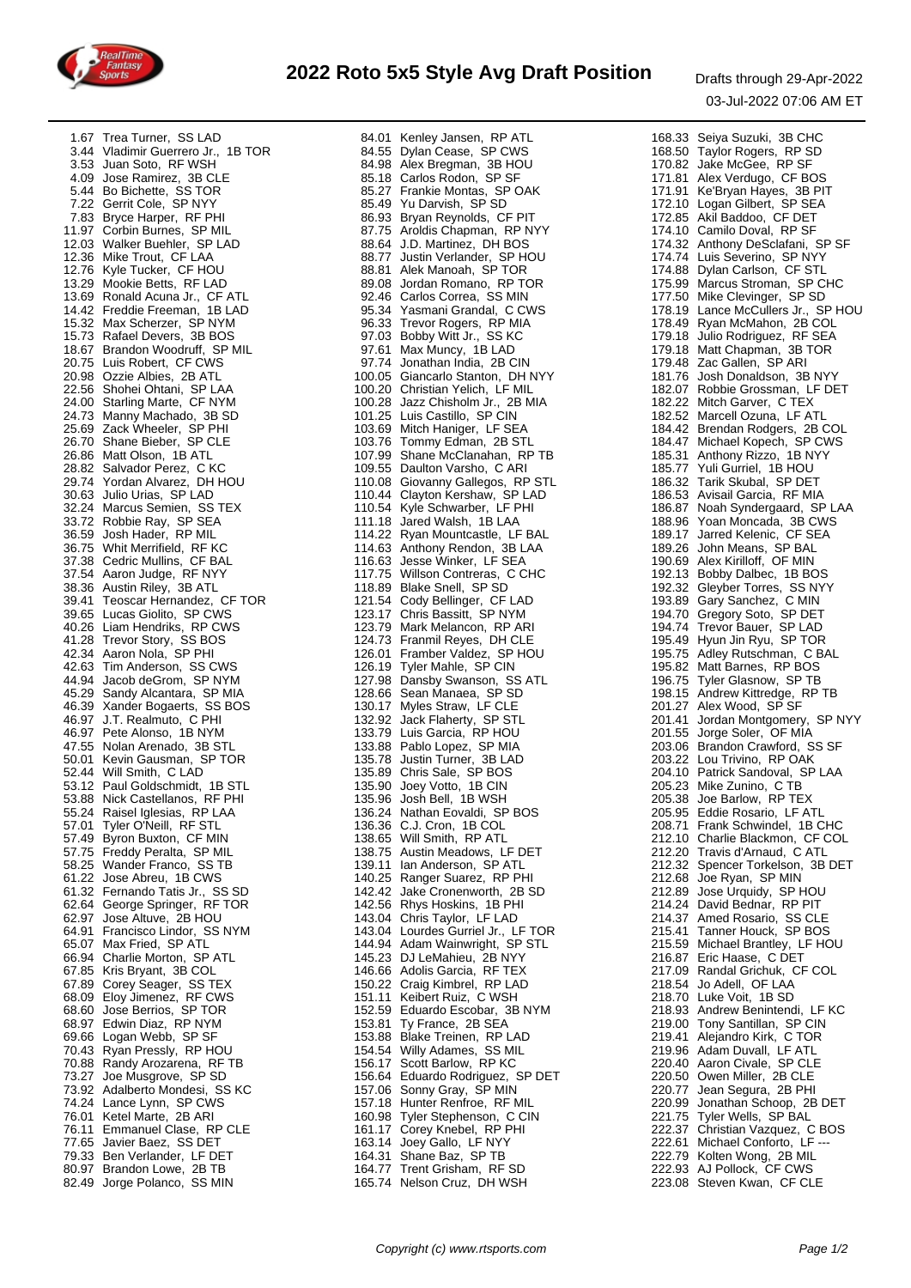

|                                 | 167 Ten Turer (SSL 146 Ten Turer (SSL 1641) 1678/2013 1688 - 1678 1688 September 167 1688 - 1688 - 1688 - 1688 - 1688 - 1688 - 1688 - 1688 - 1688 - 1688 - 1688 - 1688 - 1688 - 1688 - 1688 - 1688 - 1688 - 1688 - 1688 - 168 |                                  |
|---------------------------------|-------------------------------------------------------------------------------------------------------------------------------------------------------------------------------------------------------------------------------|----------------------------------|
|                                 |                                                                                                                                                                                                                               |                                  |
|                                 |                                                                                                                                                                                                                               |                                  |
|                                 |                                                                                                                                                                                                                               |                                  |
|                                 |                                                                                                                                                                                                                               |                                  |
|                                 |                                                                                                                                                                                                                               |                                  |
|                                 |                                                                                                                                                                                                                               |                                  |
|                                 |                                                                                                                                                                                                                               |                                  |
|                                 |                                                                                                                                                                                                                               |                                  |
|                                 |                                                                                                                                                                                                                               |                                  |
|                                 |                                                                                                                                                                                                                               |                                  |
|                                 |                                                                                                                                                                                                                               |                                  |
|                                 |                                                                                                                                                                                                                               |                                  |
|                                 |                                                                                                                                                                                                                               |                                  |
|                                 |                                                                                                                                                                                                                               |                                  |
|                                 |                                                                                                                                                                                                                               |                                  |
|                                 |                                                                                                                                                                                                                               |                                  |
|                                 |                                                                                                                                                                                                                               |                                  |
|                                 |                                                                                                                                                                                                                               |                                  |
|                                 |                                                                                                                                                                                                                               |                                  |
|                                 |                                                                                                                                                                                                                               |                                  |
|                                 |                                                                                                                                                                                                                               |                                  |
|                                 |                                                                                                                                                                                                                               |                                  |
|                                 |                                                                                                                                                                                                                               |                                  |
|                                 |                                                                                                                                                                                                                               |                                  |
|                                 |                                                                                                                                                                                                                               |                                  |
|                                 |                                                                                                                                                                                                                               |                                  |
|                                 |                                                                                                                                                                                                                               |                                  |
|                                 |                                                                                                                                                                                                                               |                                  |
|                                 |                                                                                                                                                                                                                               |                                  |
|                                 |                                                                                                                                                                                                                               |                                  |
|                                 |                                                                                                                                                                                                                               |                                  |
|                                 |                                                                                                                                                                                                                               |                                  |
|                                 |                                                                                                                                                                                                                               |                                  |
|                                 |                                                                                                                                                                                                                               |                                  |
| 55.24 Raisel Iglesias, RP LAA   | 136.24 Nathan Eovaldi, SP BOS                                                                                                                                                                                                 | 205.95 Eddie Rosario, LF ATL     |
| 57.01 Tyler O'Neill, RF STL     | 136.36 C.J. Cron, 1B COL                                                                                                                                                                                                      | 208.71 Frank Schwindel, 1B CHC   |
|                                 |                                                                                                                                                                                                                               |                                  |
| 57.49 Byron Buxton, CF MIN      | 138.65 Will Smith, RP ATL                                                                                                                                                                                                     | 212.10 Charlie Blackmon, CF COL  |
| 57.75 Freddy Peralta, SP MIL    | 138.75 Austin Meadows, LF DET                                                                                                                                                                                                 | 212.20 Travis d'Arnaud, C ATL    |
| 58.25 Wander Franco, SS TB      | 139.11 Ian Anderson, SP ATL                                                                                                                                                                                                   | 212.32 Spencer Torkelson, 3B DET |
| 61.22 Jose Abreu, 1B CWS        | 139.11 Ian Anderson, SPATL<br>140.25 Ranger Suarez, RP PHI                                                                                                                                                                    | 212.68 Joe Ryan, SP MIN          |
|                                 | 142.42 Jake Cronenworth, 2B SD                                                                                                                                                                                                |                                  |
| 61.32 Fernando Tatis Jr., SS SD |                                                                                                                                                                                                                               | 212.89 Jose Urquidy, SP HOU      |
| 62.64 George Springer, RF TOR   | 142.56 Rhys Hoskins, 1B PHI                                                                                                                                                                                                   | 214.24 David Bednar, RP PIT      |
| 62.97 Jose Altuve, 2B HOU       | 143.04 Chris Taylor, LF LAD                                                                                                                                                                                                   | 214.37 Amed Rosario, SS CLE      |
| 64.91 Francisco Lindor, SS NYM  | 143.04 Lourdes Gurriel Jr., LF TOR                                                                                                                                                                                            | 215.41 Tanner Houck, SP BOS      |
| 65.07 Max Fried, SP ATL         | 144.94 Adam Wainwright, SP STL                                                                                                                                                                                                | 215.59 Michael Brantley, LF HOU  |
|                                 |                                                                                                                                                                                                                               |                                  |
| 66.94 Charlie Morton, SP ATL    | 145.23 DJ LeMahieu, 2B NYY                                                                                                                                                                                                    | 216.87 Eric Haase, C DET         |
| 67.85 Kris Bryant, 3B COL       | 146.66 Adolis Garcia, RF TEX                                                                                                                                                                                                  | 217.09 Randal Grichuk, CF COL    |
| 67.89 Corey Seager, SS TEX      | 150.22 Craig Kimbrel, RP LAD                                                                                                                                                                                                  | 218.54 Jo Adell, OF LAA          |
|                                 |                                                                                                                                                                                                                               |                                  |
| 68.09 Eloy Jimenez, RF CWS      | 151.11 Keibert Ruiz, C WSH                                                                                                                                                                                                    | 218.70 Luke Voit, 1B SD          |
| 68.60 Jose Berrios, SP TOR      | 152.59 Eduardo Escobar, 3B NYM                                                                                                                                                                                                | 218.93 Andrew Benintendi, LF KC  |
| 68.97 Edwin Diaz, RP NYM        | 153.81 Ty France, 2B SEA                                                                                                                                                                                                      | 219.00 Tony Santillan, SP CIN    |
| 69.66 Logan Webb, SP SF         | 153.88 Blake Treinen, RP LAD                                                                                                                                                                                                  | 219.41 Alejandro Kirk, C TOR     |
|                                 |                                                                                                                                                                                                                               |                                  |
| 70.43 Ryan Pressly, RP HOU      | 154.54 Willy Adames, SS MIL                                                                                                                                                                                                   | 219.96 Adam Duvall, LF ATL       |
| 70.88 Randy Arozarena, RF TB    | 156.17 Scott Barlow, RP KC                                                                                                                                                                                                    | 220.40 Aaron Civale, SP CLE      |
| 73.27 Joe Musgrove, SP SD       | 156.64 Eduardo Rodriguez, SP DET                                                                                                                                                                                              | 220.50 Owen Miller, 2B CLE       |
| 73.92 Adalberto Mondesi, SS KC  | 157.06 Sonny Gray, SP MIN                                                                                                                                                                                                     | 220.77 Jean Segura, 2B PHI       |
|                                 |                                                                                                                                                                                                                               |                                  |
| 74.24 Lance Lynn, SP CWS        | 157.18 Hunter Renfroe, RF MIL                                                                                                                                                                                                 | 220.99 Jonathan Schoop, 2B DET   |
| 76.01 Ketel Marte, 2B ARI       |                                                                                                                                                                                                                               | 221.75 Tyler Wells, SP BAL       |
| 76.11 Emmanuel Clase, RP CLE    |                                                                                                                                                                                                                               | 222.37 Christian Vazquez, C BOS  |
| 77.65 Javier Baez, SS DET       |                                                                                                                                                                                                                               | 222.61 Michael Conforto, LF ---  |
|                                 |                                                                                                                                                                                                                               |                                  |
| 79.33 Ben Verlander, LF DET     |                                                                                                                                                                                                                               | 222.79 Kolten Wong, 2B MIL       |
| 80.97 Brandon Lowe, 2B TB       | 160.98 Tyler Stephenson, C CIN<br>161.17 Corey Knebel, RP PHI<br>163.14 Joey Gallo, LF NYY<br>164.31 Shane Baz, SP TB<br>164.77 Trent Grisham, RF SD                                                                          | 222.93 AJ Pollock, CF CWS        |
| 82.49 Jorge Polanco, SS MIN     | 165.74 Nelson Cruz, DH WSH                                                                                                                                                                                                    | 223.08 Steven Kwan, CF CLE       |
|                                 |                                                                                                                                                                                                                               |                                  |